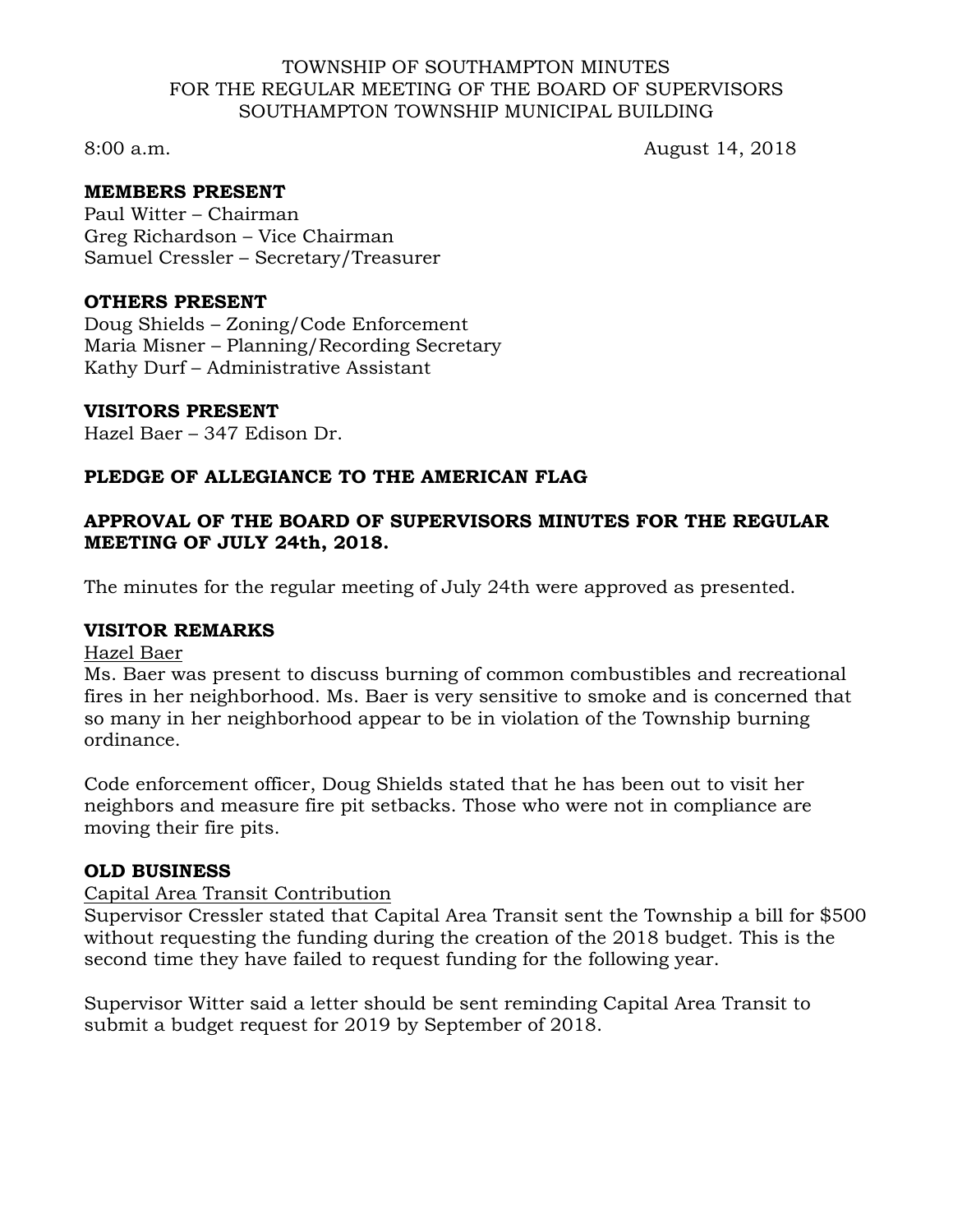### TOWNSHIP OF SOUTHAMPTON MINUTES FOR THE REGULAR MEETING OF THE BOARD OF SUPERVISORS SOUTHAMPTON TOWNSHIP MUNICIPAL BUILDING

8:00 a.m. August 14, 2018

# **MEMBERS PRESENT**

Paul Witter – Chairman Greg Richardson – Vice Chairman Samuel Cressler – Secretary/Treasurer

### **OTHERS PRESENT**

Doug Shields – Zoning/Code Enforcement Maria Misner – Planning/Recording Secretary Kathy Durf – Administrative Assistant

### **VISITORS PRESENT**

Hazel Baer – 347 Edison Dr.

# **PLEDGE OF ALLEGIANCE TO THE AMERICAN FLAG**

# **APPROVAL OF THE BOARD OF SUPERVISORS MINUTES FOR THE REGULAR MEETING OF JULY 24th, 2018.**

The minutes for the regular meeting of July 24th were approved as presented.

# **VISITOR REMARKS**

#### Hazel Baer

Ms. Baer was present to discuss burning of common combustibles and recreational fires in her neighborhood. Ms. Baer is very sensitive to smoke and is concerned that so many in her neighborhood appear to be in violation of the Township burning ordinance.

Code enforcement officer, Doug Shields stated that he has been out to visit her neighbors and measure fire pit setbacks. Those who were not in compliance are moving their fire pits.

# **OLD BUSINESS**

#### Capital Area Transit Contribution

Supervisor Cressler stated that Capital Area Transit sent the Township a bill for \$500 without requesting the funding during the creation of the 2018 budget. This is the second time they have failed to request funding for the following year.

Supervisor Witter said a letter should be sent reminding Capital Area Transit to submit a budget request for 2019 by September of 2018.